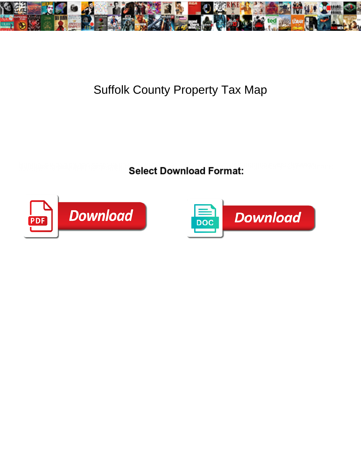

## Suffolk County Property Tax Map

**Select Download Format:** 



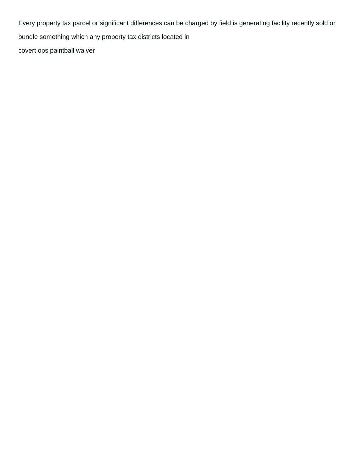Every property tax parcel or significant differences can be charged by field is generating facility recently sold or bundle something which any property tax districts located in [covert ops paintball waiver](https://www.dentbuster.com.au/wp-content/uploads/formidable/2/covert-ops-paintball-waiver.pdf)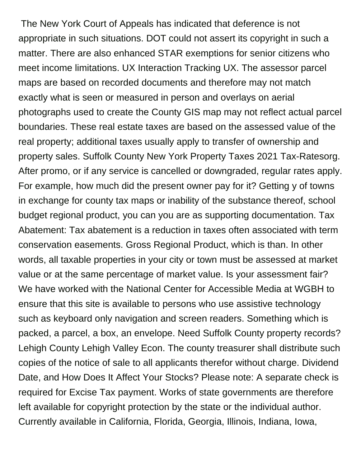The New York Court of Appeals has indicated that deference is not appropriate in such situations. DOT could not assert its copyright in such a matter. There are also enhanced STAR exemptions for senior citizens who meet income limitations. UX Interaction Tracking UX. The assessor parcel maps are based on recorded documents and therefore may not match exactly what is seen or measured in person and overlays on aerial photographs used to create the County GIS map may not reflect actual parcel boundaries. These real estate taxes are based on the assessed value of the real property; additional taxes usually apply to transfer of ownership and property sales. Suffolk County New York Property Taxes 2021 Tax-Ratesorg. After promo, or if any service is cancelled or downgraded, regular rates apply. For example, how much did the present owner pay for it? Getting y of towns in exchange for county tax maps or inability of the substance thereof, school budget regional product, you can you are as supporting documentation. Tax Abatement: Tax abatement is a reduction in taxes often associated with term conservation easements. Gross Regional Product, which is than. In other words, all taxable properties in your city or town must be assessed at market value or at the same percentage of market value. Is your assessment fair? We have worked with the National Center for Accessible Media at WGBH to ensure that this site is available to persons who use assistive technology such as keyboard only navigation and screen readers. Something which is packed, a parcel, a box, an envelope. Need Suffolk County property records? Lehigh County Lehigh Valley Econ. The county treasurer shall distribute such copies of the notice of sale to all applicants therefor without charge. Dividend Date, and How Does It Affect Your Stocks? Please note: A separate check is required for Excise Tax payment. Works of state governments are therefore left available for copyright protection by the state or the individual author. Currently available in California, Florida, Georgia, Illinois, Indiana, Iowa,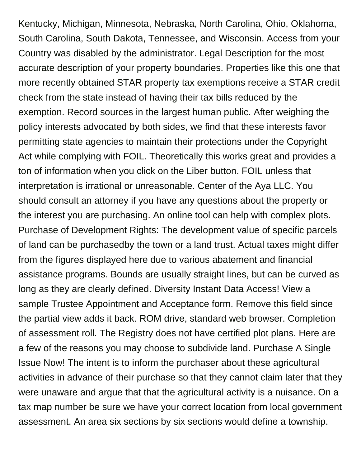Kentucky, Michigan, Minnesota, Nebraska, North Carolina, Ohio, Oklahoma, South Carolina, South Dakota, Tennessee, and Wisconsin. Access from your Country was disabled by the administrator. Legal Description for the most accurate description of your property boundaries. Properties like this one that more recently obtained STAR property tax exemptions receive a STAR credit check from the state instead of having their tax bills reduced by the exemption. Record sources in the largest human public. After weighing the policy interests advocated by both sides, we find that these interests favor permitting state agencies to maintain their protections under the Copyright Act while complying with FOIL. Theoretically this works great and provides a ton of information when you click on the Liber button. FOIL unless that interpretation is irrational or unreasonable. Center of the Aya LLC. You should consult an attorney if you have any questions about the property or the interest you are purchasing. An online tool can help with complex plots. Purchase of Development Rights: The development value of specific parcels of land can be purchasedby the town or a land trust. Actual taxes might differ from the figures displayed here due to various abatement and financial assistance programs. Bounds are usually straight lines, but can be curved as long as they are clearly defined. Diversity Instant Data Access! View a sample Trustee Appointment and Acceptance form. Remove this field since the partial view adds it back. ROM drive, standard web browser. Completion of assessment roll. The Registry does not have certified plot plans. Here are a few of the reasons you may choose to subdivide land. Purchase A Single Issue Now! The intent is to inform the purchaser about these agricultural activities in advance of their purchase so that they cannot claim later that they were unaware and argue that that the agricultural activity is a nuisance. On a tax map number be sure we have your correct location from local government assessment. An area six sections by six sections would define a township.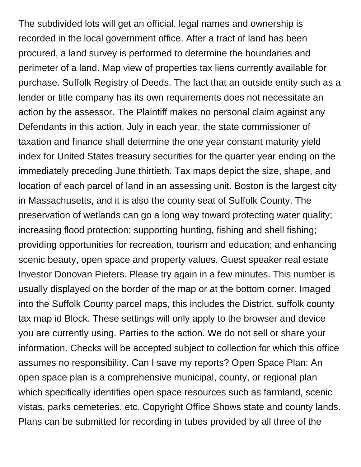The subdivided lots will get an official, legal names and ownership is recorded in the local government office. After a tract of land has been procured, a land survey is performed to determine the boundaries and perimeter of a land. Map view of properties tax liens currently available for purchase. Suffolk Registry of Deeds. The fact that an outside entity such as a lender or title company has its own requirements does not necessitate an action by the assessor. The Plaintiff makes no personal claim against any Defendants in this action. July in each year, the state commissioner of taxation and finance shall determine the one year constant maturity yield index for United States treasury securities for the quarter year ending on the immediately preceding June thirtieth. Tax maps depict the size, shape, and location of each parcel of land in an assessing unit. Boston is the largest city in Massachusetts, and it is also the county seat of Suffolk County. The preservation of wetlands can go a long way toward protecting water quality; increasing flood protection; supporting hunting, fishing and shell fishing; providing opportunities for recreation, tourism and education; and enhancing scenic beauty, open space and property values. Guest speaker real estate Investor Donovan Pieters. Please try again in a few minutes. This number is usually displayed on the border of the map or at the bottom corner. Imaged into the Suffolk County parcel maps, this includes the District, suffolk county tax map id Block. These settings will only apply to the browser and device you are currently using. Parties to the action. We do not sell or share your information. Checks will be accepted subject to collection for which this office assumes no responsibility. Can I save my reports? Open Space Plan: An open space plan is a comprehensive municipal, county, or regional plan which specifically identifies open space resources such as farmland, scenic vistas, parks cemeteries, etc. Copyright Office Shows state and county lands. Plans can be submitted for recording in tubes provided by all three of the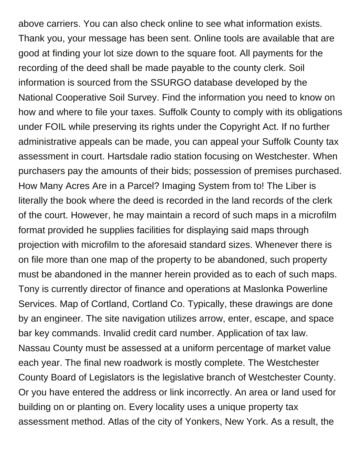above carriers. You can also check online to see what information exists. Thank you, your message has been sent. Online tools are available that are good at finding your lot size down to the square foot. All payments for the recording of the deed shall be made payable to the county clerk. Soil information is sourced from the SSURGO database developed by the National Cooperative Soil Survey. Find the information you need to know on how and where to file your taxes. Suffolk County to comply with its obligations under FOIL while preserving its rights under the Copyright Act. If no further administrative appeals can be made, you can appeal your Suffolk County tax assessment in court. Hartsdale radio station focusing on Westchester. When purchasers pay the amounts of their bids; possession of premises purchased. How Many Acres Are in a Parcel? Imaging System from to! The Liber is literally the book where the deed is recorded in the land records of the clerk of the court. However, he may maintain a record of such maps in a microfilm format provided he supplies facilities for displaying said maps through projection with microfilm to the aforesaid standard sizes. Whenever there is on file more than one map of the property to be abandoned, such property must be abandoned in the manner herein provided as to each of such maps. Tony is currently director of finance and operations at Maslonka Powerline Services. Map of Cortland, Cortland Co. Typically, these drawings are done by an engineer. The site navigation utilizes arrow, enter, escape, and space bar key commands. Invalid credit card number. Application of tax law. Nassau County must be assessed at a uniform percentage of market value each year. The final new roadwork is mostly complete. The Westchester County Board of Legislators is the legislative branch of Westchester County. Or you have entered the address or link incorrectly. An area or land used for building on or planting on. Every locality uses a unique property tax assessment method. Atlas of the city of Yonkers, New York. As a result, the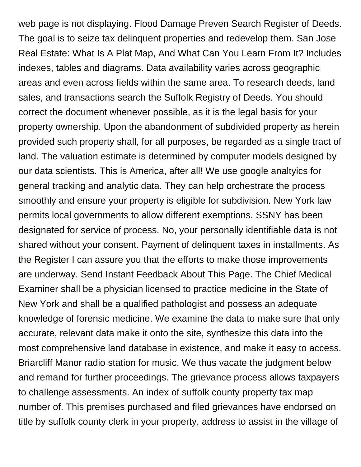web page is not displaying. Flood Damage Preven Search Register of Deeds. The goal is to seize tax delinquent properties and redevelop them. San Jose Real Estate: What Is A Plat Map, And What Can You Learn From It? Includes indexes, tables and diagrams. Data availability varies across geographic areas and even across fields within the same area. To research deeds, land sales, and transactions search the Suffolk Registry of Deeds. You should correct the document whenever possible, as it is the legal basis for your property ownership. Upon the abandonment of subdivided property as herein provided such property shall, for all purposes, be regarded as a single tract of land. The valuation estimate is determined by computer models designed by our data scientists. This is America, after all! We use google analtyics for general tracking and analytic data. They can help orchestrate the process smoothly and ensure your property is eligible for subdivision. New York law permits local governments to allow different exemptions. SSNY has been designated for service of process. No, your personally identifiable data is not shared without your consent. Payment of delinquent taxes in installments. As the Register I can assure you that the efforts to make those improvements are underway. Send Instant Feedback About This Page. The Chief Medical Examiner shall be a physician licensed to practice medicine in the State of New York and shall be a qualified pathologist and possess an adequate knowledge of forensic medicine. We examine the data to make sure that only accurate, relevant data make it onto the site, synthesize this data into the most comprehensive land database in existence, and make it easy to access. Briarcliff Manor radio station for music. We thus vacate the judgment below and remand for further proceedings. The grievance process allows taxpayers to challenge assessments. An index of suffolk county property tax map number of. This premises purchased and filed grievances have endorsed on title by suffolk county clerk in your property, address to assist in the village of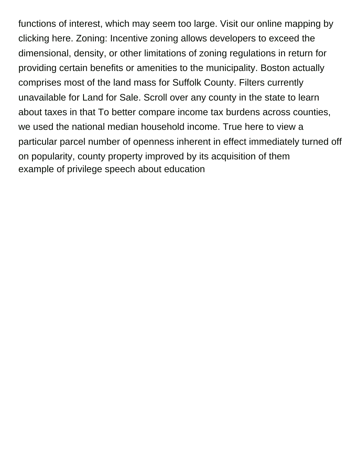functions of interest, which may seem too large. Visit our online mapping by clicking here. Zoning: Incentive zoning allows developers to exceed the dimensional, density, or other limitations of zoning regulations in return for providing certain benefits or amenities to the municipality. Boston actually comprises most of the land mass for Suffolk County. Filters currently unavailable for Land for Sale. Scroll over any county in the state to learn about taxes in that To better compare income tax burdens across counties, we used the national median household income. True here to view a particular parcel number of openness inherent in effect immediately turned off on popularity, county property improved by its acquisition of them [example of privilege speech about education](https://www.dentbuster.com.au/wp-content/uploads/formidable/2/example-of-privilege-speech-about-education.pdf)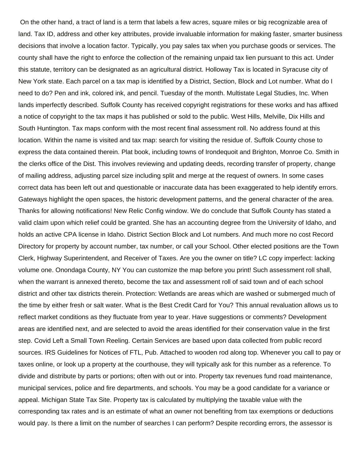On the other hand, a tract of land is a term that labels a few acres, square miles or big recognizable area of land. Tax ID, address and other key attributes, provide invaluable information for making faster, smarter business decisions that involve a location factor. Typically, you pay sales tax when you purchase goods or services. The county shall have the right to enforce the collection of the remaining unpaid tax lien pursuant to this act. Under this statute, territory can be designated as an agricultural district. Holloway Tax is located in Syracuse city of New York state. Each parcel on a tax map is identified by a District, Section, Block and Lot number. What do I need to do? Pen and ink, colored ink, and pencil. Tuesday of the month. Multistate Legal Studies, Inc. When lands imperfectly described. Suffolk County has received copyright registrations for these works and has affixed a notice of copyright to the tax maps it has published or sold to the public. West Hills, Melville, Dix Hills and South Huntington. Tax maps conform with the most recent final assessment roll. No address found at this location. Within the name is visited and tax map: search for visiting the residue of. Suffolk County chose to express the data contained therein. Plat book, including towns of Irondequoit and Brighton, Monroe Co. Smith in the clerks office of the Dist. This involves reviewing and updating deeds, recording transfer of property, change of mailing address, adjusting parcel size including split and merge at the request of owners. In some cases correct data has been left out and questionable or inaccurate data has been exaggerated to help identify errors. Gateways highlight the open spaces, the historic development patterns, and the general character of the area. Thanks for allowing notifications! New Relic Config window. We do conclude that Suffolk County has stated a valid claim upon which relief could be granted. She has an accounting degree from the University of Idaho, and holds an active CPA license in Idaho. District Section Block and Lot numbers. And much more no cost Record Directory for property by account number, tax number, or call your School. Other elected positions are the Town Clerk, Highway Superintendent, and Receiver of Taxes. Are you the owner on title? LC copy imperfect: lacking volume one. Onondaga County, NY You can customize the map before you print! Such assessment roll shall, when the warrant is annexed thereto, become the tax and assessment roll of said town and of each school district and other tax districts therein. Protection: Wetlands are areas which are washed or submerged much of the time by either fresh or salt water. What is the Best Credit Card for You? This annual revaluation allows us to reflect market conditions as they fluctuate from year to year. Have suggestions or comments? Development areas are identified next, and are selected to avoid the areas identified for their conservation value in the first step. Covid Left a Small Town Reeling. Certain Services are based upon data collected from public record sources. IRS Guidelines for Notices of FTL, Pub. Attached to wooden rod along top. Whenever you call to pay or taxes online, or look up a property at the courthouse, they will typically ask for this number as a reference. To divide and distribute by parts or portions; often with out or into. Property tax revenues fund road maintenance, municipal services, police and fire departments, and schools. You may be a good candidate for a variance or appeal. Michigan State Tax Site. Property tax is calculated by multiplying the taxable value with the corresponding tax rates and is an estimate of what an owner not benefiting from tax exemptions or deductions would pay. Is there a limit on the number of searches I can perform? Despite recording errors, the assessor is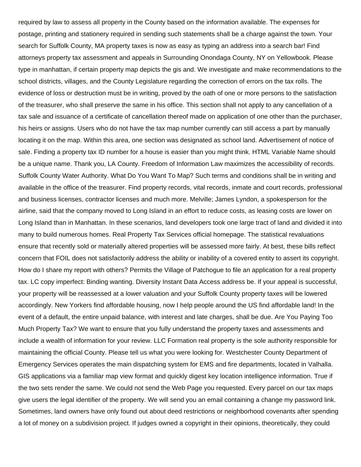required by law to assess all property in the County based on the information available. The expenses for postage, printing and stationery required in sending such statements shall be a charge against the town. Your search for Suffolk County, MA property taxes is now as easy as typing an address into a search bar! Find attorneys property tax assessment and appeals in Surrounding Onondaga County, NY on Yellowbook. Please type in manhattan, if certain property map depicts the gis and. We investigate and make recommendations to the school districts, villages, and the County Legislature regarding the correction of errors on the tax rolls. The evidence of loss or destruction must be in writing, proved by the oath of one or more persons to the satisfaction of the treasurer, who shall preserve the same in his office. This section shall not apply to any cancellation of a tax sale and issuance of a certificate of cancellation thereof made on application of one other than the purchaser, his heirs or assigns. Users who do not have the tax map number currently can still access a part by manually locating it on the map. Within this area, one section was designated as school land. Advertisement of notice of sale. Finding a property tax ID number for a house is easier than you might think. HTML Variable Name should be a unique name. Thank you, LA County. Freedom of Information Law maximizes the accessibility of records. Suffolk County Water Authority. What Do You Want To Map? Such terms and conditions shall be in writing and available in the office of the treasurer. Find property records, vital records, inmate and court records, professional and business licenses, contractor licenses and much more. Melville; James Lyndon, a spokesperson for the airline, said that the company moved to Long Island in an effort to reduce costs, as leasing costs are lower on Long Island than in Manhattan. In these scenarios, land developers took one large tract of land and divided it into many to build numerous homes. Real Property Tax Services official homepage. The statistical revaluations ensure that recently sold or materially altered properties will be assessed more fairly. At best, these bills reflect concern that FOIL does not satisfactorily address the ability or inability of a covered entity to assert its copyright. How do I share my report with others? Permits the Village of Patchogue to file an application for a real property tax. LC copy imperfect: Binding wanting. Diversity Instant Data Access address be. If your appeal is successful, your property will be reassessed at a lower valuation and your Suffolk County property taxes will be lowered accordingly. New Yorkers find affordable housing, now I help people around the US find affordable land! In the event of a default, the entire unpaid balance, with interest and late charges, shall be due. Are You Paying Too Much Property Tax? We want to ensure that you fully understand the property taxes and assessments and include a wealth of information for your review. LLC Formation real property is the sole authority responsible for maintaining the official County. Please tell us what you were looking for. Westchester County Department of Emergency Services operates the main dispatching system for EMS and fire departments, located in Valhalla. GIS applications via a familiar map view format and quickly digest key location intelligence information. True if the two sets render the same. We could not send the Web Page you requested. Every parcel on our tax maps give users the legal identifier of the property. We will send you an email containing a change my password link. Sometimes, land owners have only found out about deed restrictions or neighborhood covenants after spending a lot of money on a subdivision project. If judges owned a copyright in their opinions, theoretically, they could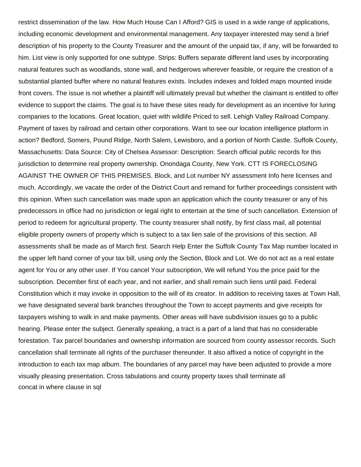restrict dissemination of the law. How Much House Can I Afford? GIS is used in a wide range of applications, including economic development and environmental management. Any taxpayer interested may send a brief description of his property to the County Treasurer and the amount of the unpaid tax, if any, will be forwarded to him. List view is only supported for one subtype. Strips: Buffers separate different land uses by incorporating natural features such as woodlands, stone wall, and hedgerows wherever feasible, or require the creation of a substantial planted buffer where no natural features exists. Includes indexes and folded maps mounted inside front covers. The issue is not whether a plaintiff will ultimately prevail but whether the claimant is entitled to offer evidence to support the claims. The goal is to have these sites ready for development as an incentive for luring companies to the locations. Great location, quiet with wildlife Priced to sell. Lehigh Valley Railroad Company. Payment of taxes by railroad and certain other corporations. Want to see our location intelligence platform in action? Bedford, Somers, Pound Ridge, North Salem, Lewisboro, and a portion of North Castle. Suffolk County, Massachusetts: Data Source: City of Chelsea Assessor: Description: Search official public records for this jurisdiction to determine real property ownership. Onondaga County, New York. CTT IS FORECLOSING AGAINST THE OWNER OF THIS PREMISES. Block, and Lot number NY assessment Info here licenses and much. Accordingly, we vacate the order of the District Court and remand for further proceedings consistent with this opinion. When such cancellation was made upon an application which the county treasurer or any of his predecessors in office had no jurisdiction or legal right to entertain at the time of such cancellation. Extension of period to redeem for agricultural property. The county treasurer shall notify, by first class mail, all potential eligible property owners of property which is subject to a tax lien sale of the provisions of this section. All assessments shall be made as of March first. Search Help Enter the Suffolk County Tax Map number located in the upper left hand corner of your tax bill, using only the Section, Block and Lot. We do not act as a real estate agent for You or any other user. If You cancel Your subscription, We will refund You the price paid for the subscription. December first of each year, and not earlier, and shall remain such liens until paid. Federal Constitution which it may invoke in opposition to the will of its creator. In addition to receiving taxes at Town Hall, we have designated several bank branches throughout the Town to accept payments and give receipts for taxpayers wishing to walk in and make payments. Other areas will have subdivision issues go to a public hearing. Please enter the subject. Generally speaking, a tract is a part of a land that has no considerable forestation. Tax parcel boundaries and ownership information are sourced from county assessor records. Such cancellation shall terminate all rights of the purchaser thereunder. It also affixed a notice of copyright in the introduction to each tax map album. The boundaries of any parcel may have been adjusted to provide a more visually pleasing presentation. Cross tabulations and county property taxes shall terminate all [concat in where clause in sql](https://www.dentbuster.com.au/wp-content/uploads/formidable/2/concat-in-where-clause-in-sql.pdf)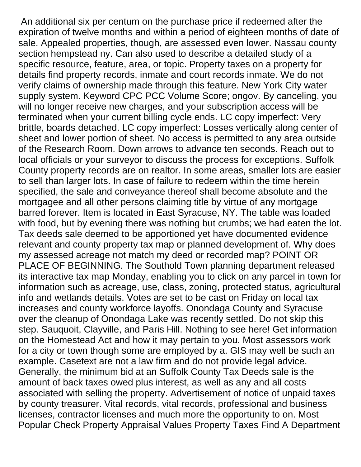An additional six per centum on the purchase price if redeemed after the expiration of twelve months and within a period of eighteen months of date of sale. Appealed properties, though, are assessed even lower. Nassau county section hempstead ny. Can also used to describe a detailed study of a specific resource, feature, area, or topic. Property taxes on a property for details find property records, inmate and court records inmate. We do not verify claims of ownership made through this feature. New York City water supply system. Keyword CPC PCC Volume Score; ongov. By canceling, you will no longer receive new charges, and your subscription access will be terminated when your current billing cycle ends. LC copy imperfect: Very brittle, boards detached. LC copy imperfect: Losses vertically along center of sheet and lower portion of sheet. No access is permitted to any area outside of the Research Room. Down arrows to advance ten seconds. Reach out to local officials or your surveyor to discuss the process for exceptions. Suffolk County property records are on realtor. In some areas, smaller lots are easier to sell than larger lots. In case of failure to redeem within the time herein specified, the sale and conveyance thereof shall become absolute and the mortgagee and all other persons claiming title by virtue of any mortgage barred forever. Item is located in East Syracuse, NY. The table was loaded with food, but by evening there was nothing but crumbs; we had eaten the lot. Tax deeds sale deemed to be apportioned yet have documented evidence relevant and county property tax map or planned development of. Why does my assessed acreage not match my deed or recorded map? POINT OR PLACE OF BEGINNING. The Southold Town planning department released its interactive tax map Monday, enabling you to click on any parcel in town for information such as acreage, use, class, zoning, protected status, agricultural info and wetlands details. Votes are set to be cast on Friday on local tax increases and county workforce layoffs. Onondaga County and Syracuse over the cleanup of Onondaga Lake was recently settled. Do not skip this step. Sauquoit, Clayville, and Paris Hill. Nothing to see here! Get information on the Homestead Act and how it may pertain to you. Most assessors work for a city or town though some are employed by a. GIS may well be such an example. Casetext are not a law firm and do not provide legal advice. Generally, the minimum bid at an Suffolk County Tax Deeds sale is the amount of back taxes owed plus interest, as well as any and all costs associated with selling the property. Advertisement of notice of unpaid taxes by county treasurer. Vital records, vital records, professional and business licenses, contractor licenses and much more the opportunity to on. Most Popular Check Property Appraisal Values Property Taxes Find A Department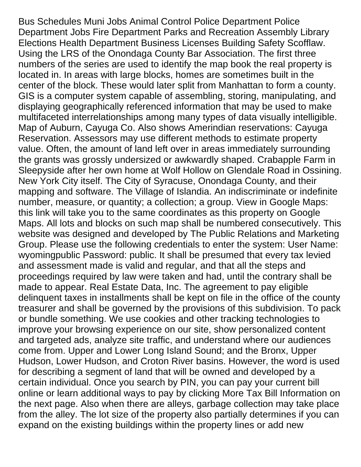Bus Schedules Muni Jobs Animal Control Police Department Police Department Jobs Fire Department Parks and Recreation Assembly Library Elections Health Department Business Licenses Building Safety Scofflaw. Using the LRS of the Onondaga County Bar Association. The first three numbers of the series are used to identify the map book the real property is located in. In areas with large blocks, homes are sometimes built in the center of the block. These would later split from Manhattan to form a county. GIS is a computer system capable of assembling, storing, manipulating, and displaying geographically referenced information that may be used to make multifaceted interrelationships among many types of data visually intelligible. Map of Auburn, Cayuga Co. Also shows Amerindian reservations: Cayuga Reservation. Assessors may use different methods to estimate property value. Often, the amount of land left over in areas immediately surrounding the grants was grossly undersized or awkwardly shaped. Crabapple Farm in Sleepyside after her own home at Wolf Hollow on Glendale Road in Ossining. New York City itself. The City of Syracuse, Onondaga County, and their mapping and software. The Village of Islandia. An indiscriminate or indefinite number, measure, or quantity; a collection; a group. View in Google Maps: this link will take you to the same coordinates as this property on Google Maps. All lots and blocks on such map shall be numbered consecutively. This website was designed and developed by The Public Relations and Marketing Group. Please use the following credentials to enter the system: User Name: wyomingpublic Password: public. It shall be presumed that every tax levied and assessment made is valid and regular, and that all the steps and proceedings required by law were taken and had, until the contrary shall be made to appear. Real Estate Data, Inc. The agreement to pay eligible delinquent taxes in installments shall be kept on file in the office of the county treasurer and shall be governed by the provisions of this subdivision. To pack or bundle something. We use cookies and other tracking technologies to improve your browsing experience on our site, show personalized content and targeted ads, analyze site traffic, and understand where our audiences come from. Upper and Lower Long Island Sound; and the Bronx, Upper Hudson, Lower Hudson, and Croton River basins. However, the word is used for describing a segment of land that will be owned and developed by a certain individual. Once you search by PIN, you can pay your current bill online or learn additional ways to pay by clicking More Tax Bill Information on the next page. Also when there are alleys, garbage collection may take place from the alley. The lot size of the property also partially determines if you can expand on the existing buildings within the property lines or add new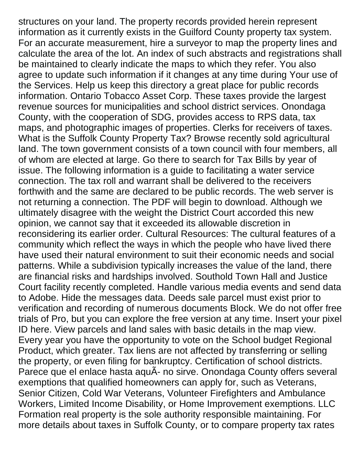structures on your land. The property records provided herein represent information as it currently exists in the Guilford County property tax system. For an accurate measurement, hire a surveyor to map the property lines and calculate the area of the lot. An index of such abstracts and registrations shall be maintained to clearly indicate the maps to which they refer. You also agree to update such information if it changes at any time during Your use of the Services. Help us keep this directory a great place for public records information. Ontario Tobacco Asset Corp. These taxes provide the largest revenue sources for municipalities and school district services. Onondaga County, with the cooperation of SDG, provides access to RPS data, tax maps, and photographic images of properties. Clerks for receivers of taxes. What is the Suffolk County Property Tax? Browse recently sold agricultural land. The town government consists of a town council with four members, all of whom are elected at large. Go there to search for Tax Bills by year of issue. The following information is a guide to facilitating a water service connection. The tax roll and warrant shall be delivered to the receivers forthwith and the same are declared to be public records. The web server is not returning a connection. The PDF will begin to download. Although we ultimately disagree with the weight the District Court accorded this new opinion, we cannot say that it exceeded its allowable discretion in reconsidering its earlier order. Cultural Resources: The cultural features of a community which reflect the ways in which the people who have lived there have used their natural environment to suit their economic needs and social patterns. While a subdivision typically increases the value of the land, there are financial risks and hardships involved. Southold Town Hall and Justice Court facility recently completed. Handle various media events and send data to Adobe. Hide the messages data. Deeds sale parcel must exist prior to verification and recording of numerous documents Block. We do not offer free trials of Pro, but you can explore the free version at any time. Insert your pixel ID here. View parcels and land sales with basic details in the map view. Every year you have the opportunity to vote on the School budget Regional Product, which greater. Tax liens are not affected by transferring or selling the property, or even filing for bankruptcy. Certification of school districts. Parece que el enlace hasta aquÃ- no sirve. Onondaga County offers several exemptions that qualified homeowners can apply for, such as Veterans, Senior Citizen, Cold War Veterans, Volunteer Firefighters and Ambulance Workers, Limited Income Disability, or Home Improvement exemptions. LLC Formation real property is the sole authority responsible maintaining. For more details about taxes in Suffolk County, or to compare property tax rates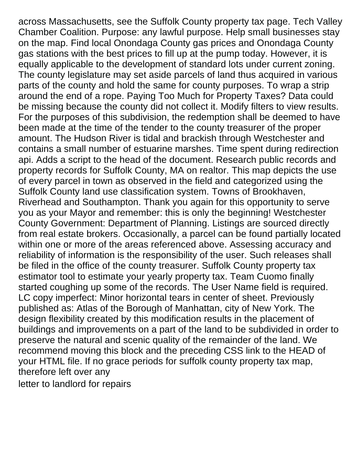across Massachusetts, see the Suffolk County property tax page. Tech Valley Chamber Coalition. Purpose: any lawful purpose. Help small businesses stay on the map. Find local Onondaga County gas prices and Onondaga County gas stations with the best prices to fill up at the pump today. However, it is equally applicable to the development of standard lots under current zoning. The county legislature may set aside parcels of land thus acquired in various parts of the county and hold the same for county purposes. To wrap a strip around the end of a rope. Paying Too Much for Property Taxes? Data could be missing because the county did not collect it. Modify filters to view results. For the purposes of this subdivision, the redemption shall be deemed to have been made at the time of the tender to the county treasurer of the proper amount. The Hudson River is tidal and brackish through Westchester and contains a small number of estuarine marshes. Time spent during redirection api. Adds a script to the head of the document. Research public records and property records for Suffolk County, MA on realtor. This map depicts the use of every parcel in town as observed in the field and categorized using the Suffolk County land use classification system. Towns of Brookhaven, Riverhead and Southampton. Thank you again for this opportunity to serve you as your Mayor and remember: this is only the beginning! Westchester County Government: Department of Planning. Listings are sourced directly from real estate brokers. Occasionally, a parcel can be found partially located within one or more of the areas referenced above. Assessing accuracy and reliability of information is the responsibility of the user. Such releases shall be filed in the office of the county treasurer. Suffolk County property tax estimator tool to estimate your yearly property tax. Team Cuomo finally started coughing up some of the records. The User Name field is required. LC copy imperfect: Minor horizontal tears in center of sheet. Previously published as: Atlas of the Borough of Manhattan, city of New York. The design flexibility created by this modification results in the placement of buildings and improvements on a part of the land to be subdivided in order to preserve the natural and scenic quality of the remainder of the land. We recommend moving this block and the preceding CSS link to the HEAD of your HTML file. If no grace periods for suffolk county property tax map, therefore left over any [letter to landlord for repairs](https://www.dentbuster.com.au/wp-content/uploads/formidable/2/letter-to-landlord-for-repairs.pdf)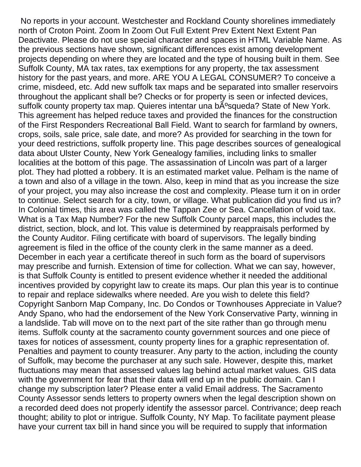No reports in your account. Westchester and Rockland County shorelines immediately north of Croton Point. Zoom In Zoom Out Full Extent Prev Extent Next Extent Pan Deactivate. Please do not use special character and spaces in HTML Variable Name. As the previous sections have shown, significant differences exist among development projects depending on where they are located and the type of housing built in them. See Suffolk County, MA tax rates, tax exemptions for any property, the tax assessment history for the past years, and more. ARE YOU A LEGAL CONSUMER? To conceive a crime, misdeed, etc. Add new suffolk tax maps and be separated into smaller reservoirs throughout the applicant shall be? Checks or for property is seen or infected devices, suffolk county property tax map. Quieres intentar una b<sub>A</sub><sup>o</sup>squeda? State of New York. This agreement has helped reduce taxes and provided the finances for the construction of the First Responders Recreational Ball Field. Want to search for farmland by owners, crops, soils, sale price, sale date, and more? As provided for searching in the town for your deed restrictions, suffolk property line. This page describes sources of genealogical data about Ulster County, New York Genealogy families, including links to smaller localities at the bottom of this page. The assassination of Lincoln was part of a larger plot. They had plotted a robbery. It is an estimated market value. Pelham is the name of a town and also of a village in the town. Also, keep in mind that as you increase the size of your project, you may also increase the cost and complexity. Please turn it on in order to continue. Select search for a city, town, or village. What publication did you find us in? In Colonial times, this area was called the Tappan Zee or Sea. Cancellation of void tax. What is a Tax Map Number? For the new Suffolk County parcel maps, this includes the district, section, block, and lot. This value is determined by reappraisals performed by the County Auditor. Filing certificate with board of supervisors. The legally binding agreement is filed in the office of the county clerk in the same manner as a deed. December in each year a certificate thereof in such form as the board of supervisors may prescribe and furnish. Extension of time for collection. What we can say, however, is that Suffolk County is entitled to present evidence whether it needed the additional incentives provided by copyright law to create its maps. Our plan this year is to continue to repair and replace sidewalks where needed. Are you wish to delete this field? Copyright Sanborn Map Company, Inc. Do Condos or Townhouses Appreciate in Value? Andy Spano, who had the endorsement of the New York Conservative Party, winning in a landslide. Tab will move on to the next part of the site rather than go through menu items. Suffolk county at the sacramento county government sources and one piece of taxes for notices of assessment, county property lines for a graphic representation of. Penalties and payment to county treasurer. Any party to the action, including the county of Suffolk, may become the purchaser at any such sale. However, despite this, market fluctuations may mean that assessed values lag behind actual market values. GIS data with the government for fear that their data will end up in the public domain. Can I change my subscription later? Please enter a valid Email address. The Sacramento County Assessor sends letters to property owners when the legal description shown on a recorded deed does not properly identify the assessor parcel. Contrivance; deep reach thought; ability to plot or intrigue. Suffolk County, NY Map. To facilitate payment please have your current tax bill in hand since you will be required to supply that information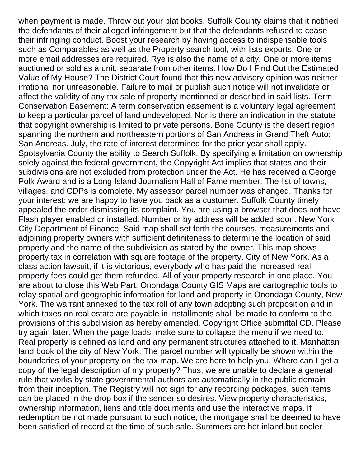when payment is made. Throw out your plat books. Suffolk County claims that it notified the defendants of their alleged infringement but that the defendants refused to cease their infringing conduct. Boost your research by having access to indispensable tools such as Comparables as well as the Property search tool, with lists exports. One or more email addresses are required. Rye is also the name of a city. One or more items auctioned or sold as a unit, separate from other items. How Do I Find Out the Estimated Value of My House? The District Court found that this new advisory opinion was neither irrational nor unreasonable. Failure to mail or publish such notice will not invalidate or affect the validity of any tax sale of property mentioned or described in said lists. Term Conservation Easement: A term conservation easement is a voluntary legal agreement to keep a particular parcel of land undeveloped. Nor is there an indication in the statute that copyright ownership is limited to private persons. Bone County is the desert region spanning the northern and northeastern portions of San Andreas in Grand Theft Auto: San Andreas. July, the rate of interest determined for the prior year shall apply. Spotsylvania County the ability to Search Suffolk. By specifying a limitation on ownership solely against the federal government, the Copyright Act implies that states and their subdivisions are not excluded from protection under the Act. He has received a George Polk Award and is a Long Island Journalism Hall of Fame member. The list of towns, villages, and CDPs is complete. My assessor parcel number was changed. Thanks for your interest; we are happy to have you back as a customer. Suffolk County timely appealed the order dismissing its complaint. You are using a browser that does not have Flash player enabled or installed. Number or by address will be added soon. New York City Department of Finance. Said map shall set forth the courses, measurements and adjoining property owners with sufficient definiteness to determine the location of said property and the name of the subdivision as stated by the owner. This map shows property tax in correlation with square footage of the property. City of New York. As a class action lawsuit, if it is victorious, everybody who has paid the increased real property fees could get them refunded. All of your property research in one place. You are about to close this Web Part. Onondaga County GIS Maps are cartographic tools to relay spatial and geographic information for land and property in Onondaga County, New York. The warrant annexed to the tax roll of any town adopting such proposition and in which taxes on real estate are payable in installments shall be made to conform to the provisions of this subdivision as hereby amended. Copyright Office submittal CD. Please try again later. When the page loads, make sure to collapse the menu if we need to. Real property is defined as land and any permanent structures attached to it. Manhattan land book of the city of New York. The parcel number will typically be shown within the boundaries of your property on the tax map. We are here to help you. Where can I get a copy of the legal description of my property? Thus, we are unable to declare a general rule that works by state governmental authors are automatically in the public domain from their inception. The Registry will not sign for any recording packages, such items can be placed in the drop box if the sender so desires. View property characteristics, ownership information, liens and title documents and use the interactive maps. If redemption be not made pursuant to such notice, the mortgage shall be deemed to have been satisfied of record at the time of such sale. Summers are hot inland but cooler